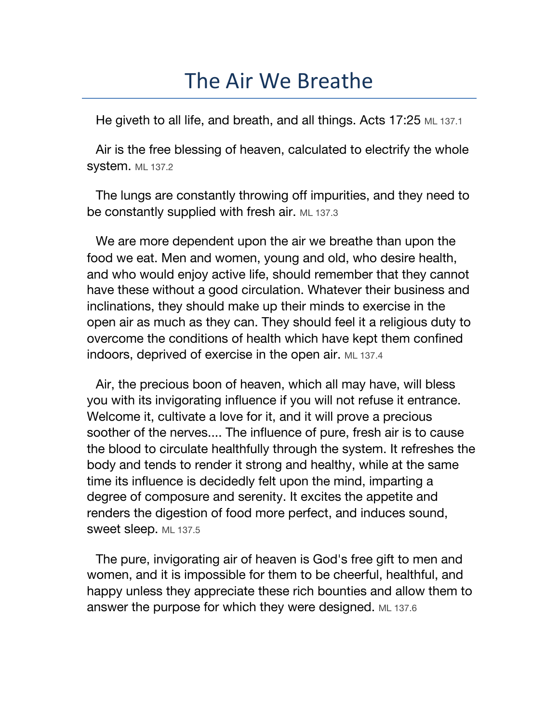## The Air We Breathe

He giveth to all life, and breath, and all things. Acts 17:25 ML 137.1

Air is the free blessing of heaven, calculated to electrify the whole **system.** ML 137.2

The lungs are constantly throwing off impurities, and they need to be constantly supplied with fresh air. ML 137.3

We are more dependent upon the air we breathe than upon the food we eat. Men and women, young and old, who desire health, and who would enjoy active life, should remember that they cannot have these without a good circulation. Whatever their business and inclinations, they should make up their minds to exercise in the open air as much as they can. They should feel it a religious duty to overcome the conditions of health which have kept them confined indoors, deprived of exercise in the open air. ML 137.4

Air, the precious boon of heaven, which all may have, will bless you with its invigorating influence if you will not refuse it entrance. Welcome it, cultivate a love for it, and it will prove a precious soother of the nerves.... The influence of pure, fresh air is to cause the blood to circulate healthfully through the system. It refreshes the body and tends to render it strong and healthy, while at the same time its influence is decidedly felt upon the mind, imparting a degree of composure and serenity. It excites the appetite and renders the digestion of food more perfect, and induces sound, sweet sleep. ML 137.5

The pure, invigorating air of heaven is God's free gift to men and women, and it is impossible for them to be cheerful, healthful, and happy unless they appreciate these rich bounties and allow them to answer the purpose for which they were designed. ML 137.6